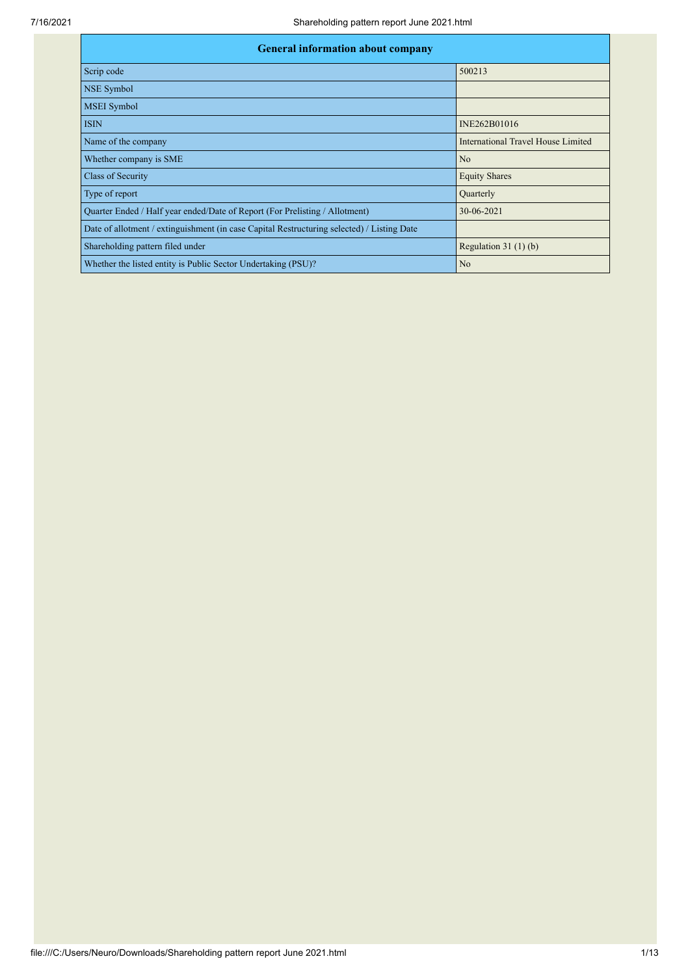| <b>General information about company</b>                                                   |                                           |  |  |  |  |  |  |
|--------------------------------------------------------------------------------------------|-------------------------------------------|--|--|--|--|--|--|
| Scrip code                                                                                 | 500213                                    |  |  |  |  |  |  |
| NSE Symbol                                                                                 |                                           |  |  |  |  |  |  |
| <b>MSEI</b> Symbol                                                                         |                                           |  |  |  |  |  |  |
| <b>ISIN</b>                                                                                | INE262B01016                              |  |  |  |  |  |  |
| Name of the company                                                                        | <b>International Travel House Limited</b> |  |  |  |  |  |  |
| Whether company is SME                                                                     | N <sub>o</sub>                            |  |  |  |  |  |  |
| Class of Security                                                                          | <b>Equity Shares</b>                      |  |  |  |  |  |  |
| Type of report                                                                             | Quarterly                                 |  |  |  |  |  |  |
| Quarter Ended / Half year ended/Date of Report (For Prelisting / Allotment)                | 30-06-2021                                |  |  |  |  |  |  |
| Date of allotment / extinguishment (in case Capital Restructuring selected) / Listing Date |                                           |  |  |  |  |  |  |
| Shareholding pattern filed under                                                           | Regulation $31(1)(b)$                     |  |  |  |  |  |  |
| Whether the listed entity is Public Sector Undertaking (PSU)?                              | No                                        |  |  |  |  |  |  |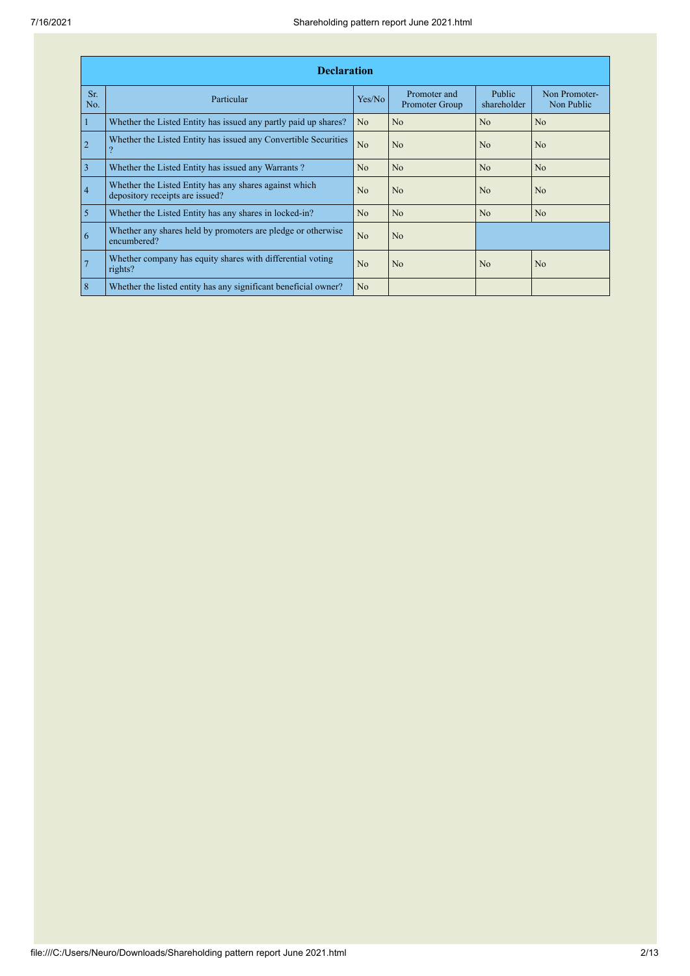|                | <b>Declaration</b>                                                                        |                |                                |                       |                             |  |  |  |  |  |
|----------------|-------------------------------------------------------------------------------------------|----------------|--------------------------------|-----------------------|-----------------------------|--|--|--|--|--|
| Sr.<br>No.     | Particular                                                                                | Yes/No         | Promoter and<br>Promoter Group | Public<br>shareholder | Non Promoter-<br>Non Public |  |  |  |  |  |
| $\vert$ 1      | Whether the Listed Entity has issued any partly paid up shares?                           | N <sub>o</sub> | N <sub>o</sub>                 | N <sub>o</sub>        | N <sub>o</sub>              |  |  |  |  |  |
| $\overline{2}$ | Whether the Listed Entity has issued any Convertible Securities                           | No             | N <sub>o</sub>                 | N <sub>0</sub>        | No                          |  |  |  |  |  |
| $\overline{3}$ | Whether the Listed Entity has issued any Warrants?                                        | N <sub>o</sub> | N <sub>o</sub>                 | N <sub>o</sub>        | N <sub>o</sub>              |  |  |  |  |  |
| $\vert 4$      | Whether the Listed Entity has any shares against which<br>depository receipts are issued? | N <sub>0</sub> | N <sub>o</sub>                 | N <sub>0</sub>        | N <sub>0</sub>              |  |  |  |  |  |
| $\overline{5}$ | Whether the Listed Entity has any shares in locked-in?                                    | No             | N <sub>o</sub>                 | No                    | N <sub>o</sub>              |  |  |  |  |  |
| $\overline{6}$ | Whether any shares held by promoters are pledge or otherwise<br>encumbered?               | No             | N <sub>o</sub>                 |                       |                             |  |  |  |  |  |
| $\overline{7}$ | Whether company has equity shares with differential voting<br>rights?                     | N <sub>o</sub> | N <sub>o</sub>                 | N <sub>o</sub>        | N <sub>o</sub>              |  |  |  |  |  |
| $\overline{8}$ | Whether the listed entity has any significant beneficial owner?                           | N <sub>o</sub> |                                |                       |                             |  |  |  |  |  |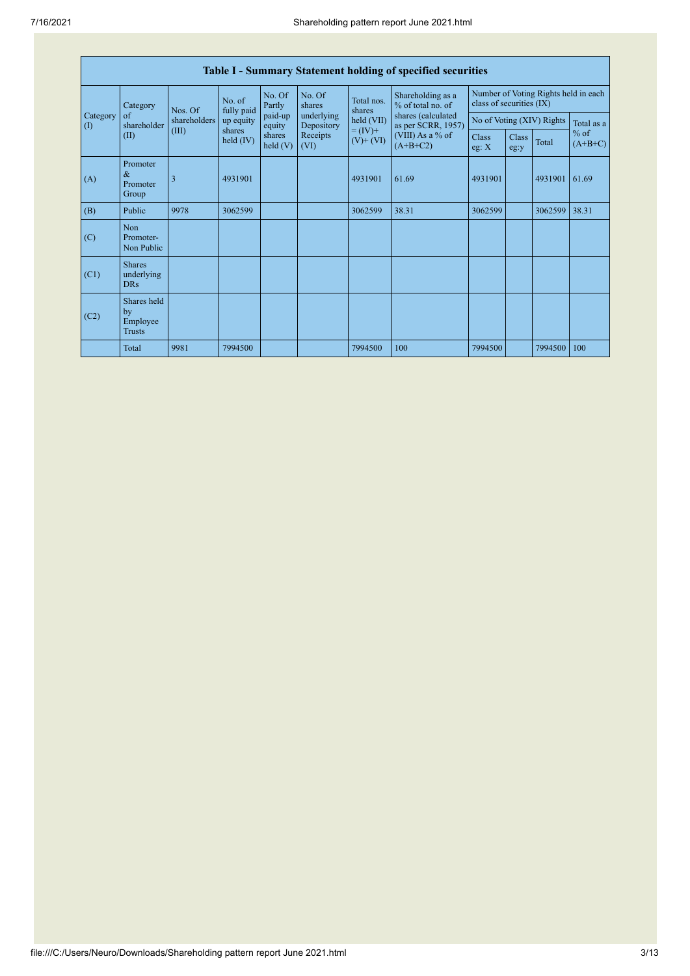| Table I - Summary Statement holding of specified securities |                                                |              |                       |                      |                          |                                            |                                                                                                                      |                                                                  |               |                           |                     |
|-------------------------------------------------------------|------------------------------------------------|--------------|-----------------------|----------------------|--------------------------|--------------------------------------------|----------------------------------------------------------------------------------------------------------------------|------------------------------------------------------------------|---------------|---------------------------|---------------------|
|                                                             | Category                                       | Nos. Of      | No. of<br>fully paid  | No. Of<br>Partly     | No. Of<br>shares         | Total nos.<br>shares                       | Shareholding as a<br>% of total no. of<br>shares (calculated<br>as per SCRR, 1957)<br>(VIII) As a % of<br>$(A+B+C2)$ | Number of Voting Rights held in each<br>class of securities (IX) |               |                           |                     |
| Category<br>$\left( \mathrm{I}\right)$                      | of<br>shareholder                              | shareholders | up equity             | paid-up<br>equity    | underlying<br>Depository | held (VII)<br>$= (IV) +$<br>$(V)$ + $(VI)$ |                                                                                                                      |                                                                  |               | No of Voting (XIV) Rights | Total as a          |
|                                                             | (II)                                           | (III)        | shares<br>held $(IV)$ | shares<br>held $(V)$ | Receipts<br>(VI)         |                                            |                                                                                                                      | <b>Class</b><br>eg: X                                            | Class<br>eg:y | Total                     | $%$ of<br>$(A+B+C)$ |
| (A)                                                         | Promoter<br>$\&$<br>Promoter<br>Group          | 3            | 4931901               |                      |                          | 4931901                                    | 61.69                                                                                                                | 4931901                                                          |               | 4931901                   | 61.69               |
| (B)                                                         | Public                                         | 9978         | 3062599               |                      |                          | 3062599                                    | 38.31                                                                                                                | 3062599                                                          |               | 3062599                   | 38.31               |
| (C)                                                         | <b>Non</b><br>Promoter-<br>Non Public          |              |                       |                      |                          |                                            |                                                                                                                      |                                                                  |               |                           |                     |
| (C1)                                                        | <b>Shares</b><br>underlying<br><b>DRs</b>      |              |                       |                      |                          |                                            |                                                                                                                      |                                                                  |               |                           |                     |
| (C2)                                                        | Shares held<br>by<br>Employee<br><b>Trusts</b> |              |                       |                      |                          |                                            |                                                                                                                      |                                                                  |               |                           |                     |
|                                                             | Total                                          | 9981         | 7994500               |                      |                          | 7994500                                    | 100                                                                                                                  | 7994500                                                          |               | 7994500                   | 100                 |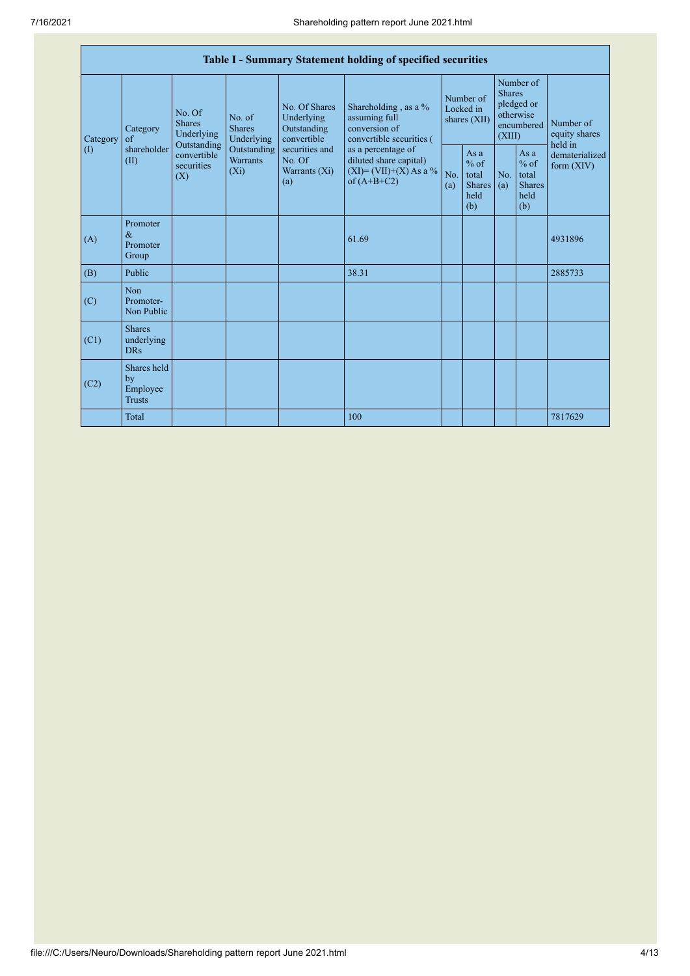| Table I - Summary Statement holding of specified securities |                                                |                                                                                              |                                                     |                                                                                            |                                                           |                                                                                    |                                          |                                                         |                                                                               |         |                                                                         |
|-------------------------------------------------------------|------------------------------------------------|----------------------------------------------------------------------------------------------|-----------------------------------------------------|--------------------------------------------------------------------------------------------|-----------------------------------------------------------|------------------------------------------------------------------------------------|------------------------------------------|---------------------------------------------------------|-------------------------------------------------------------------------------|---------|-------------------------------------------------------------------------|
| Category<br>$\left( \mathrm{I}\right)$                      | Category<br>$\alpha$ f<br>shareholder<br>(II)  | No. Of<br><b>Shares</b>                                                                      | Underlying                                          | No. of<br><b>Shares</b><br>Underlying                                                      | No. Of Shares<br>Underlying<br>Outstanding<br>convertible | Shareholding, as a %<br>assuming full<br>conversion of<br>convertible securities ( | Number of<br>Locked in<br>shares $(XII)$ |                                                         | Number of<br><b>Shares</b><br>pledged or<br>otherwise<br>encumbered<br>(XIII) |         | Number of<br>equity shares<br>held in<br>dematerialized<br>form $(XIV)$ |
|                                                             |                                                | Outstanding<br>Outstanding<br>convertible<br><b>Warrants</b><br>securities<br>$(X_i)$<br>(X) | securities and<br>No. Of<br>Warrants $(X_i)$<br>(a) | as a percentage of<br>diluted share capital)<br>$(XI) = (VII)+(X) As a %$<br>of $(A+B+C2)$ | No.<br>(a)                                                | Asa<br>$%$ of<br>total<br><b>Shares</b><br>held<br>(b)                             | No.<br>(a)                               | As a<br>$%$ of<br>total<br><b>Shares</b><br>held<br>(b) |                                                                               |         |                                                                         |
| (A)                                                         | Promoter<br>$\&$<br>Promoter<br>Group          |                                                                                              |                                                     |                                                                                            | 61.69                                                     |                                                                                    |                                          |                                                         |                                                                               | 4931896 |                                                                         |
| (B)                                                         | Public                                         |                                                                                              |                                                     |                                                                                            | 38.31                                                     |                                                                                    |                                          |                                                         |                                                                               | 2885733 |                                                                         |
| (C)                                                         | Non<br>Promoter-<br>Non Public                 |                                                                                              |                                                     |                                                                                            |                                                           |                                                                                    |                                          |                                                         |                                                                               |         |                                                                         |
| (C1)                                                        | <b>Shares</b><br>underlying<br>DR <sub>s</sub> |                                                                                              |                                                     |                                                                                            |                                                           |                                                                                    |                                          |                                                         |                                                                               |         |                                                                         |
| (C2)                                                        | Shares held<br>by<br>Employee<br><b>Trusts</b> |                                                                                              |                                                     |                                                                                            |                                                           |                                                                                    |                                          |                                                         |                                                                               |         |                                                                         |
|                                                             | Total                                          |                                                                                              |                                                     |                                                                                            | 100                                                       |                                                                                    |                                          |                                                         |                                                                               | 7817629 |                                                                         |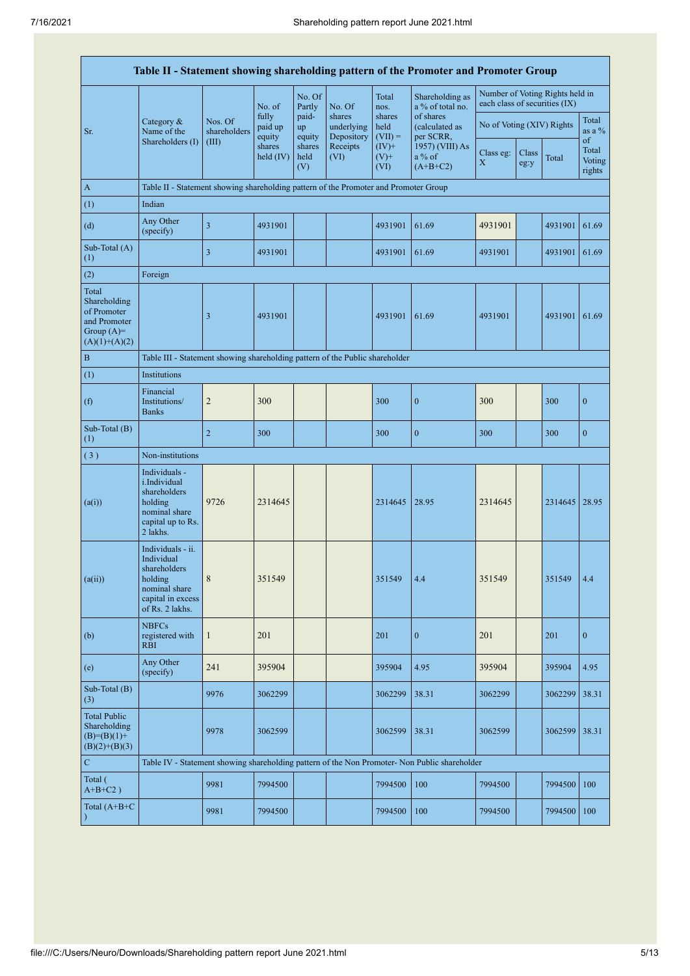|                                                                                         | Table II - Statement showing shareholding pattern of the Promoter and Promoter Group                                |                         |                            |                       |                                    |                             |                                                                                               |                               |               |                                 |                                 |
|-----------------------------------------------------------------------------------------|---------------------------------------------------------------------------------------------------------------------|-------------------------|----------------------------|-----------------------|------------------------------------|-----------------------------|-----------------------------------------------------------------------------------------------|-------------------------------|---------------|---------------------------------|---------------------------------|
|                                                                                         |                                                                                                                     |                         | No. of                     | No. Of<br>Partly      | No. Of                             | Total<br>nos.               | Shareholding as<br>a % of total no.                                                           | each class of securities (IX) |               | Number of Voting Rights held in |                                 |
| Sr.                                                                                     | Category &<br>Name of the                                                                                           | Nos. Of<br>shareholders | fully<br>paid up<br>equity | paid-<br>up<br>equity | shares<br>underlying<br>Depository | shares<br>held<br>$(VII) =$ | of shares<br>(calculated as<br>per SCRR,                                                      | No of Voting (XIV) Rights     |               |                                 | Total<br>as a $%$               |
|                                                                                         | Shareholders (I)                                                                                                    | (III)                   | shares<br>held $(IV)$      | shares<br>held<br>(V) | Receipts<br>(VI)                   | $(IV)+$<br>$(V)$ +<br>(VI)  | 1957) (VIII) As<br>$a\%$ of<br>$(A+B+C2)$                                                     | Class eg:<br>$\mathbf X$      | Class<br>eg:y | Total                           | of<br>Total<br>Voting<br>rights |
| A                                                                                       | Table II - Statement showing shareholding pattern of the Promoter and Promoter Group                                |                         |                            |                       |                                    |                             |                                                                                               |                               |               |                                 |                                 |
| (1)                                                                                     | Indian                                                                                                              |                         |                            |                       |                                    |                             |                                                                                               |                               |               |                                 |                                 |
| (d)                                                                                     | Any Other<br>(specify)                                                                                              | 3                       | 4931901                    |                       |                                    | 4931901                     | 61.69                                                                                         | 4931901                       |               | 4931901                         | 61.69                           |
| Sub-Total (A)<br>(1)                                                                    |                                                                                                                     | $\overline{\mathbf{3}}$ | 4931901                    |                       |                                    | 4931901                     | 61.69                                                                                         | 4931901                       |               | 4931901                         | 61.69                           |
| (2)                                                                                     | Foreign                                                                                                             |                         |                            |                       |                                    |                             |                                                                                               |                               |               |                                 |                                 |
| Total<br>Shareholding<br>of Promoter<br>and Promoter<br>Group $(A)=$<br>$(A)(1)+(A)(2)$ |                                                                                                                     | 3                       | 4931901                    |                       |                                    | 4931901                     | 61.69                                                                                         | 4931901                       |               | 4931901                         | 61.69                           |
| $\mathbf B$                                                                             | Table III - Statement showing shareholding pattern of the Public shareholder                                        |                         |                            |                       |                                    |                             |                                                                                               |                               |               |                                 |                                 |
| (1)                                                                                     | Institutions                                                                                                        |                         |                            |                       |                                    |                             |                                                                                               |                               |               |                                 |                                 |
| (f)                                                                                     | Financial<br>Institutions/<br><b>Banks</b>                                                                          | $\overline{2}$          | 300                        |                       |                                    | 300                         | $\boldsymbol{0}$                                                                              | 300                           |               | 300                             | $\boldsymbol{0}$                |
| Sub-Total (B)<br>(1)                                                                    |                                                                                                                     | $\sqrt{2}$              | 300                        |                       |                                    | 300                         | $\boldsymbol{0}$                                                                              | 300                           |               | 300                             | $\bf{0}$                        |
| (3)                                                                                     | Non-institutions                                                                                                    |                         |                            |                       |                                    |                             |                                                                                               |                               |               |                                 |                                 |
| (a(i))                                                                                  | Individuals -<br>i.Individual<br>shareholders<br>holding<br>nominal share<br>capital up to Rs.<br>2 lakhs.          | 9726                    | 2314645                    |                       |                                    | 2314645                     | 28.95                                                                                         | 2314645                       |               | 2314645   28.95                 |                                 |
| (a(ii))                                                                                 | Individuals - ii.<br>Individual<br>shareholders<br>holding<br>nominal share<br>capital in excess<br>of Rs. 2 lakhs. | $\,$ 8 $\,$             | 351549                     |                       |                                    | 351549                      | 4.4                                                                                           | 351549                        |               | 351549                          | 4.4                             |
| (b)                                                                                     | <b>NBFCs</b><br>registered with<br><b>RBI</b>                                                                       | $\mathbf{1}$            | 201                        |                       |                                    | 201                         | $\mathbf{0}$                                                                                  | 201                           |               | 201                             | $\mathbf{0}$                    |
| (e)                                                                                     | Any Other<br>(specify)                                                                                              | 241                     | 395904                     |                       |                                    | 395904                      | 4.95                                                                                          | 395904                        |               | 395904                          | 4.95                            |
| Sub-Total (B)<br>(3)                                                                    |                                                                                                                     | 9976                    | 3062299                    |                       |                                    | 3062299                     | 38.31                                                                                         | 3062299                       |               | 3062299                         | 38.31                           |
| <b>Total Public</b><br>Shareholding<br>$(B)=(B)(1)+$<br>$(B)(2)+(B)(3)$                 |                                                                                                                     | 9978                    | 3062599                    |                       |                                    | 3062599                     | 38.31                                                                                         | 3062599                       |               | 3062599                         | 38.31                           |
| ${\bf C}$                                                                               |                                                                                                                     |                         |                            |                       |                                    |                             | Table IV - Statement showing shareholding pattern of the Non Promoter- Non Public shareholder |                               |               |                                 |                                 |
| Total (<br>$A+B+C2$ )                                                                   |                                                                                                                     | 9981                    | 7994500                    |                       |                                    | 7994500                     | 100                                                                                           | 7994500                       |               | 7994500                         | 100                             |
| Total (A+B+C<br>$\lambda$                                                               |                                                                                                                     | 9981                    | 7994500                    |                       |                                    | 7994500                     | 100                                                                                           | 7994500                       |               | 7994500                         | 100                             |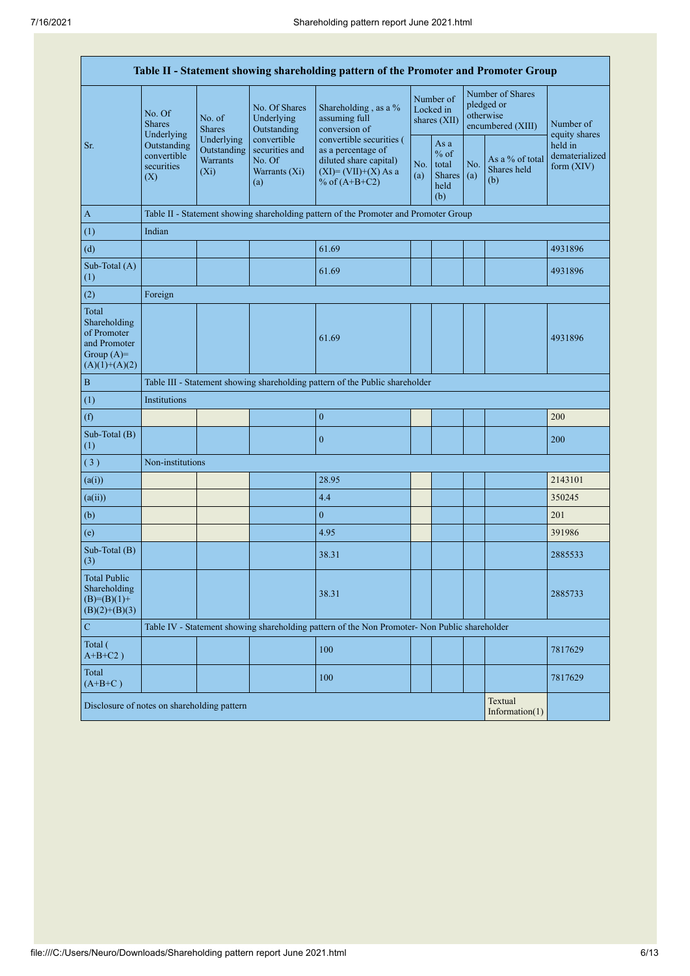| Table II - Statement showing shareholding pattern of the Promoter and Promoter Group    |                                                                             |                                                                                                                            |                                            |                                                                                                                        |  |                                                         |                                                                  |                                       |                                         |  |
|-----------------------------------------------------------------------------------------|-----------------------------------------------------------------------------|----------------------------------------------------------------------------------------------------------------------------|--------------------------------------------|------------------------------------------------------------------------------------------------------------------------|--|---------------------------------------------------------|------------------------------------------------------------------|---------------------------------------|-----------------------------------------|--|
|                                                                                         | No. Of<br><b>Shares</b><br>Underlying                                       | No. of<br><b>Shares</b>                                                                                                    | No. Of Shares<br>Underlying<br>Outstanding | Shareholding, as a %<br>assuming full<br>conversion of                                                                 |  | Number of<br>Locked in<br>shares (XII)                  | Number of Shares<br>pledged or<br>otherwise<br>encumbered (XIII) |                                       | Number of<br>equity shares              |  |
| Sr.                                                                                     | Outstanding<br>convertible<br>securities<br>(X)                             | Underlying<br>convertible<br>Outstanding<br>securities and<br><b>Warrants</b><br>No. Of<br>Warrants (Xi)<br>$(X_i)$<br>(a) |                                            | convertible securities (<br>as a percentage of<br>diluted share capital)<br>$(XI) = (VII)+(X) As a$<br>% of $(A+B+C2)$ |  | As a<br>$%$ of<br>total<br><b>Shares</b><br>held<br>(b) | No.<br>(a)                                                       | As a % of total<br>Shares held<br>(b) | held in<br>dematerialized<br>form (XIV) |  |
| $\mathbf{A}$                                                                            |                                                                             |                                                                                                                            |                                            | Table II - Statement showing shareholding pattern of the Promoter and Promoter Group                                   |  |                                                         |                                                                  |                                       |                                         |  |
| (1)                                                                                     | Indian                                                                      |                                                                                                                            |                                            |                                                                                                                        |  |                                                         |                                                                  |                                       |                                         |  |
| (d)                                                                                     |                                                                             |                                                                                                                            |                                            | 61.69                                                                                                                  |  |                                                         |                                                                  |                                       | 4931896                                 |  |
| Sub-Total (A)<br>(1)                                                                    |                                                                             |                                                                                                                            |                                            | 61.69                                                                                                                  |  |                                                         |                                                                  |                                       | 4931896                                 |  |
| (2)                                                                                     | Foreign                                                                     |                                                                                                                            |                                            |                                                                                                                        |  |                                                         |                                                                  |                                       |                                         |  |
| Total<br>Shareholding<br>of Promoter<br>and Promoter<br>Group $(A)=$<br>$(A)(1)+(A)(2)$ |                                                                             |                                                                                                                            |                                            | 61.69                                                                                                                  |  |                                                         |                                                                  |                                       | 4931896                                 |  |
| $\, {\bf B}$                                                                            |                                                                             | Table III - Statement showing shareholding pattern of the Public shareholder                                               |                                            |                                                                                                                        |  |                                                         |                                                                  |                                       |                                         |  |
| (1)                                                                                     | Institutions                                                                |                                                                                                                            |                                            |                                                                                                                        |  |                                                         |                                                                  |                                       |                                         |  |
| (f)                                                                                     |                                                                             |                                                                                                                            |                                            | $\boldsymbol{0}$                                                                                                       |  |                                                         |                                                                  |                                       | 200                                     |  |
| Sub-Total (B)<br>(1)                                                                    |                                                                             |                                                                                                                            |                                            | $\boldsymbol{0}$                                                                                                       |  |                                                         |                                                                  |                                       | 200                                     |  |
| (3)                                                                                     | Non-institutions                                                            |                                                                                                                            |                                            |                                                                                                                        |  |                                                         |                                                                  |                                       |                                         |  |
| (a(i))                                                                                  |                                                                             |                                                                                                                            |                                            | 28.95                                                                                                                  |  |                                                         |                                                                  |                                       | 2143101                                 |  |
| (a(ii))                                                                                 |                                                                             |                                                                                                                            |                                            | 4.4                                                                                                                    |  |                                                         |                                                                  |                                       | 350245                                  |  |
| (b)                                                                                     |                                                                             |                                                                                                                            |                                            | $\overline{0}$                                                                                                         |  |                                                         |                                                                  |                                       | 201                                     |  |
| (e)                                                                                     |                                                                             |                                                                                                                            |                                            | 4.95                                                                                                                   |  |                                                         |                                                                  |                                       | 391986                                  |  |
| Sub-Total (B)<br>(3)                                                                    |                                                                             |                                                                                                                            |                                            | 38.31                                                                                                                  |  |                                                         |                                                                  |                                       | 2885533                                 |  |
| <b>Total Public</b><br>Shareholding<br>$(B)= (B)(1) +$<br>$(B)(2)+(B)(3)$               |                                                                             |                                                                                                                            |                                            | 38.31                                                                                                                  |  |                                                         |                                                                  |                                       | 2885733                                 |  |
| ${\bf C}$                                                                               |                                                                             |                                                                                                                            |                                            | Table IV - Statement showing shareholding pattern of the Non Promoter- Non Public shareholder                          |  |                                                         |                                                                  |                                       |                                         |  |
| Total (<br>$A+B+C2$ )                                                                   |                                                                             |                                                                                                                            |                                            | 100                                                                                                                    |  |                                                         |                                                                  |                                       | 7817629                                 |  |
| Total<br>$(A+B+C)$                                                                      |                                                                             |                                                                                                                            |                                            | 100                                                                                                                    |  |                                                         |                                                                  |                                       | 7817629                                 |  |
|                                                                                         | Textual<br>Disclosure of notes on shareholding pattern<br>Information $(1)$ |                                                                                                                            |                                            |                                                                                                                        |  |                                                         |                                                                  |                                       |                                         |  |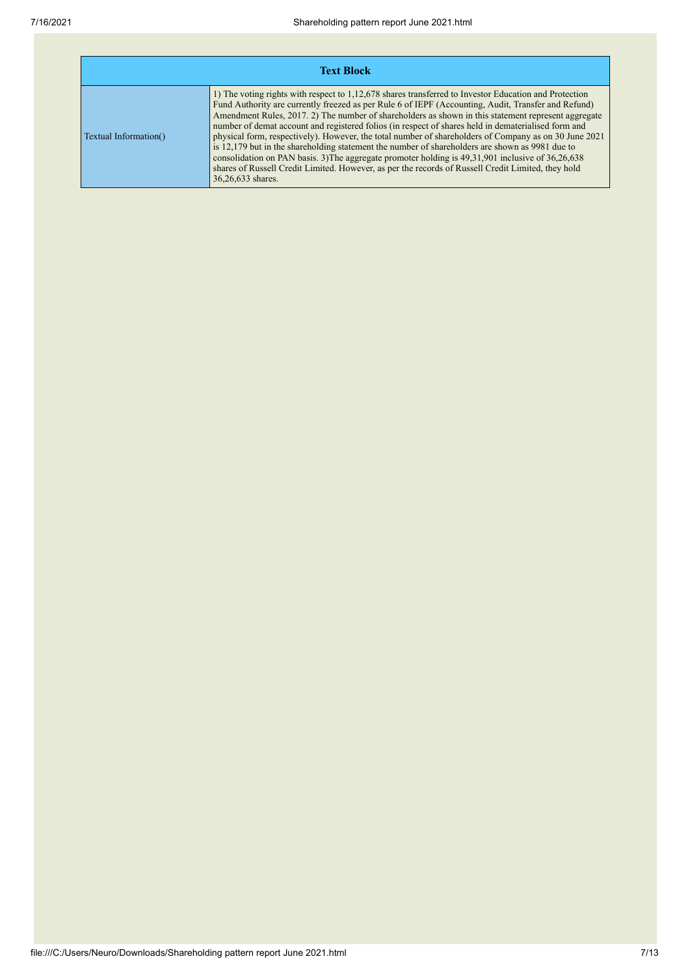| <b>Text Block</b>     |                                                                                                                                                                                                                                                                                                                                                                                                                                                                                                                                                                                                                                                                                                                                                                                                                                                                            |  |  |  |  |  |  |
|-----------------------|----------------------------------------------------------------------------------------------------------------------------------------------------------------------------------------------------------------------------------------------------------------------------------------------------------------------------------------------------------------------------------------------------------------------------------------------------------------------------------------------------------------------------------------------------------------------------------------------------------------------------------------------------------------------------------------------------------------------------------------------------------------------------------------------------------------------------------------------------------------------------|--|--|--|--|--|--|
| Textual Information() | 1) The voting rights with respect to 1,12,678 shares transferred to Investor Education and Protection<br>Fund Authority are currently freezed as per Rule 6 of IEPF (Accounting, Audit, Transfer and Refund)<br>Amendment Rules, 2017. 2) The number of shareholders as shown in this statement represent aggregate<br>number of demat account and registered folios (in respect of shares held in dematerialised form and<br>physical form, respectively). However, the total number of shareholders of Company as on 30 June 2021<br>is 12,179 but in the shareholding statement the number of shareholders are shown as 9981 due to<br>consolidation on PAN basis. 3) The aggregate promoter holding is 49, 31, 901 inclusive of 36, 26, 638<br>shares of Russell Credit Limited. However, as per the records of Russell Credit Limited, they hold<br>36,26,633 shares. |  |  |  |  |  |  |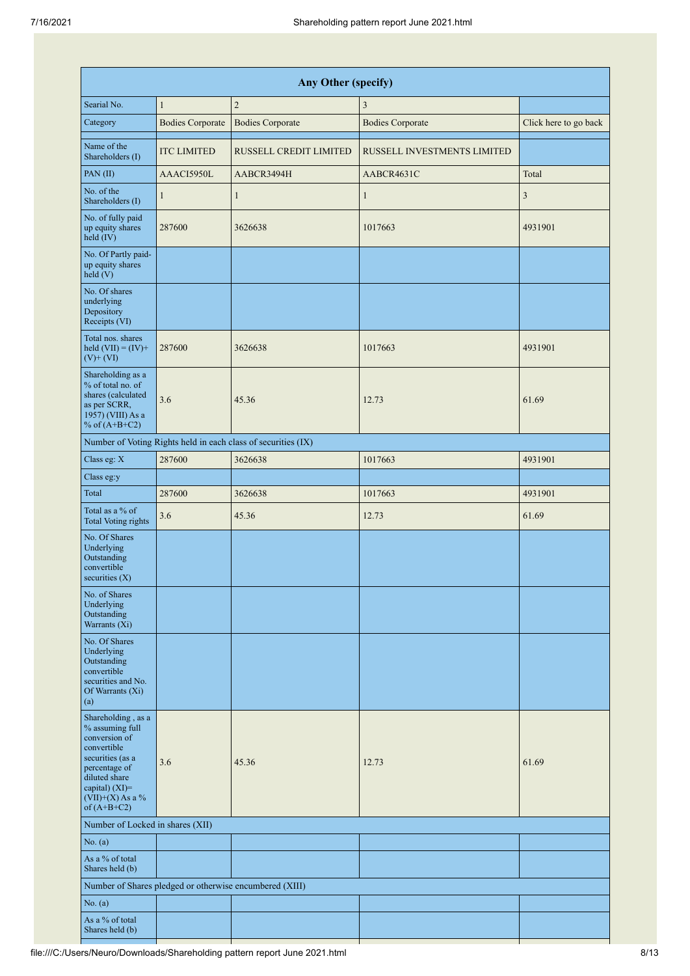| Any Other (specify)                                                                                                                                                                     |                         |                                                               |                             |                       |  |  |  |  |  |  |
|-----------------------------------------------------------------------------------------------------------------------------------------------------------------------------------------|-------------------------|---------------------------------------------------------------|-----------------------------|-----------------------|--|--|--|--|--|--|
| Searial No.                                                                                                                                                                             | $\mathbf{1}$            | $\overline{2}$                                                | $\mathfrak{Z}$              |                       |  |  |  |  |  |  |
| Category                                                                                                                                                                                | <b>Bodies Corporate</b> | <b>Bodies Corporate</b>                                       | <b>Bodies Corporate</b>     | Click here to go back |  |  |  |  |  |  |
| Name of the<br>Shareholders (I)                                                                                                                                                         | <b>ITC LIMITED</b>      | RUSSELL CREDIT LIMITED                                        | RUSSELL INVESTMENTS LIMITED |                       |  |  |  |  |  |  |
| PAN(II)                                                                                                                                                                                 | AAACI5950L              | AABCR3494H                                                    | AABCR4631C                  | Total                 |  |  |  |  |  |  |
| No. of the<br>Shareholders (I)                                                                                                                                                          | $\mathbf{1}$            | $\mathbf{1}$                                                  | $\mathbf{1}$                | $\mathfrak{Z}$        |  |  |  |  |  |  |
| No. of fully paid<br>up equity shares<br>held (IV)                                                                                                                                      | 287600                  | 3626638                                                       | 1017663                     | 4931901               |  |  |  |  |  |  |
| No. Of Partly paid-<br>up equity shares<br>held (V)                                                                                                                                     |                         |                                                               |                             |                       |  |  |  |  |  |  |
| No. Of shares<br>underlying<br>Depository<br>Receipts (VI)                                                                                                                              |                         |                                                               |                             |                       |  |  |  |  |  |  |
| Total nos. shares<br>held $(VII) = (IV) +$<br>$(V)$ + $(VI)$                                                                                                                            | 287600                  | 3626638                                                       | 1017663                     | 4931901               |  |  |  |  |  |  |
| Shareholding as a<br>% of total no. of<br>shares (calculated<br>as per SCRR,<br>1957) (VIII) As a<br>% of $(A+B+C2)$                                                                    | 3.6                     | 45.36                                                         | 12.73                       | 61.69                 |  |  |  |  |  |  |
|                                                                                                                                                                                         |                         | Number of Voting Rights held in each class of securities (IX) |                             |                       |  |  |  |  |  |  |
| Class eg: X                                                                                                                                                                             | 287600                  | 3626638                                                       | 1017663                     | 4931901               |  |  |  |  |  |  |
| Class eg:y                                                                                                                                                                              |                         |                                                               |                             |                       |  |  |  |  |  |  |
| Total                                                                                                                                                                                   | 287600                  | 3626638                                                       | 1017663                     | 4931901               |  |  |  |  |  |  |
| Total as a % of<br><b>Total Voting rights</b>                                                                                                                                           | 3.6                     | 45.36                                                         | 12.73                       | 61.69                 |  |  |  |  |  |  |
| No. Of Shares<br>Underlying<br>Outstanding<br>convertible<br>securities $(X)$                                                                                                           |                         |                                                               |                             |                       |  |  |  |  |  |  |
| No. of Shares<br>Underlying<br>Outstanding<br>Warrants (Xi)                                                                                                                             |                         |                                                               |                             |                       |  |  |  |  |  |  |
| No. Of Shares<br>Underlying<br>Outstanding<br>convertible<br>securities and No.<br>Of Warrants (Xi)<br>(a)                                                                              |                         |                                                               |                             |                       |  |  |  |  |  |  |
| Shareholding, as a<br>% assuming full<br>conversion of<br>convertible<br>securities (as a<br>percentage of<br>diluted share<br>capital) $(XI)$ =<br>$(VII)+(X)$ As a %<br>of $(A+B+C2)$ | 3.6                     | 45.36                                                         | 12.73                       | 61.69                 |  |  |  |  |  |  |
| Number of Locked in shares (XII)                                                                                                                                                        |                         |                                                               |                             |                       |  |  |  |  |  |  |
| No. (a)                                                                                                                                                                                 |                         |                                                               |                             |                       |  |  |  |  |  |  |
| As a % of total<br>Shares held (b)                                                                                                                                                      |                         |                                                               |                             |                       |  |  |  |  |  |  |
|                                                                                                                                                                                         |                         | Number of Shares pledged or otherwise encumbered (XIII)       |                             |                       |  |  |  |  |  |  |
| No. (a)                                                                                                                                                                                 |                         |                                                               |                             |                       |  |  |  |  |  |  |
| As a % of total<br>Shares held (b)                                                                                                                                                      |                         |                                                               |                             |                       |  |  |  |  |  |  |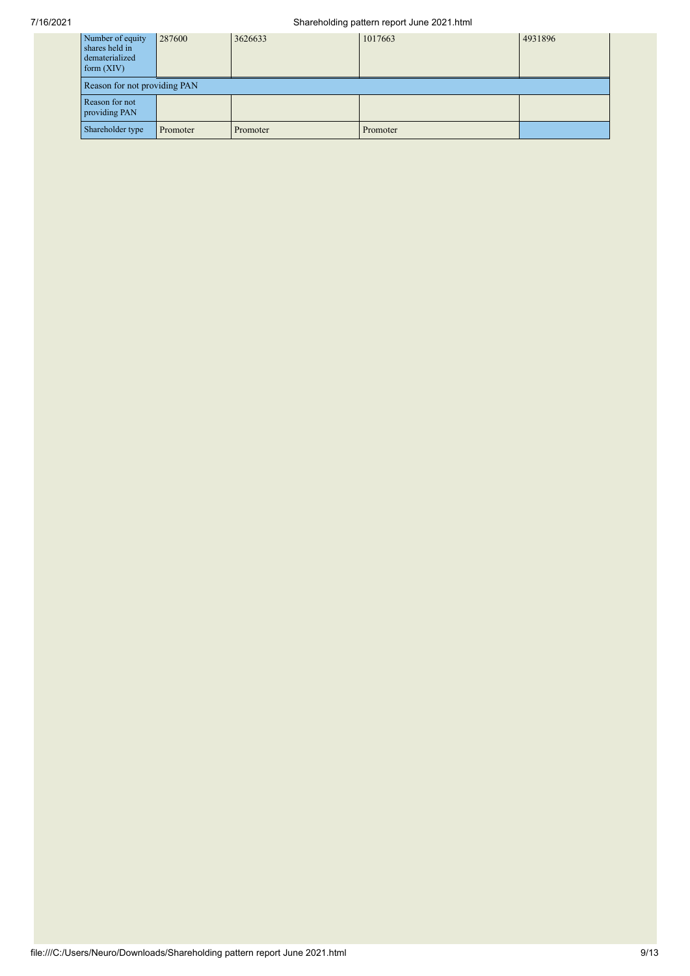## 7/16/2021 Shareholding pattern report June 2021.html

| Number of equity<br>shares held in<br>dematerialized<br>form $(XIV)$ | 287600   | 3626633  | 1017663  | 4931896 |  |  |  |  |  |
|----------------------------------------------------------------------|----------|----------|----------|---------|--|--|--|--|--|
| Reason for not providing PAN                                         |          |          |          |         |  |  |  |  |  |
| Reason for not<br>providing PAN                                      |          |          |          |         |  |  |  |  |  |
| Shareholder type                                                     | Promoter | Promoter | Promoter |         |  |  |  |  |  |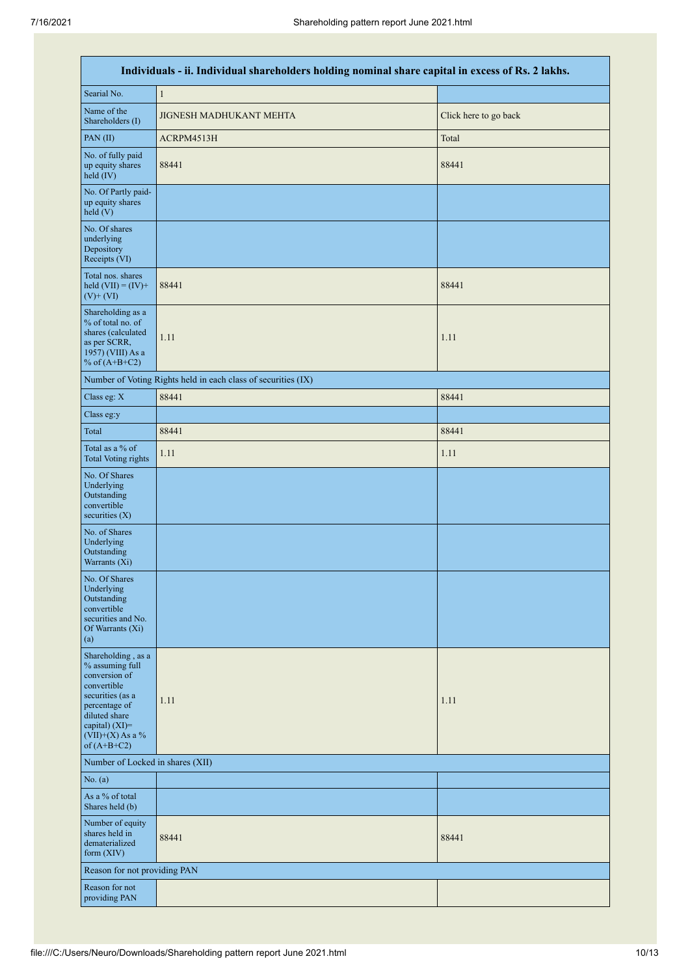| Individuals - ii. Individual shareholders holding nominal share capital in excess of Rs. 2 lakhs.                                                                                       |                                                               |                       |  |  |  |  |  |  |  |
|-----------------------------------------------------------------------------------------------------------------------------------------------------------------------------------------|---------------------------------------------------------------|-----------------------|--|--|--|--|--|--|--|
| Searial No.                                                                                                                                                                             | $\mathbf{1}$                                                  |                       |  |  |  |  |  |  |  |
| Name of the<br>Shareholders (I)                                                                                                                                                         | JIGNESH MADHUKANT MEHTA                                       | Click here to go back |  |  |  |  |  |  |  |
| PAN(II)                                                                                                                                                                                 | ACRPM4513H                                                    | Total                 |  |  |  |  |  |  |  |
| No. of fully paid<br>up equity shares<br>held $(IV)$                                                                                                                                    | 88441                                                         | 88441                 |  |  |  |  |  |  |  |
| No. Of Partly paid-<br>up equity shares<br>held(V)                                                                                                                                      |                                                               |                       |  |  |  |  |  |  |  |
| No. Of shares<br>underlying<br>Depository<br>Receipts (VI)                                                                                                                              |                                                               |                       |  |  |  |  |  |  |  |
| Total nos. shares<br>held $(VII) = (IV) +$<br>$(V)$ + $(VI)$                                                                                                                            | 88441                                                         | 88441                 |  |  |  |  |  |  |  |
| Shareholding as a<br>% of total no. of<br>shares (calculated<br>as per SCRR,<br>1957) (VIII) As a<br>% of $(A+B+C2)$                                                                    | 1.11                                                          | 1.11                  |  |  |  |  |  |  |  |
|                                                                                                                                                                                         | Number of Voting Rights held in each class of securities (IX) |                       |  |  |  |  |  |  |  |
| Class eg: X                                                                                                                                                                             | 88441                                                         | 88441                 |  |  |  |  |  |  |  |
| Class eg:y                                                                                                                                                                              |                                                               |                       |  |  |  |  |  |  |  |
| Total                                                                                                                                                                                   | 88441                                                         | 88441                 |  |  |  |  |  |  |  |
| Total as a % of<br><b>Total Voting rights</b>                                                                                                                                           | 1.11                                                          | 1.11                  |  |  |  |  |  |  |  |
| No. Of Shares<br>Underlying<br>Outstanding<br>convertible<br>securities (X)                                                                                                             |                                                               |                       |  |  |  |  |  |  |  |
| No. of Shares<br>Underlying<br>Outstanding<br>Warrants (Xi)                                                                                                                             |                                                               |                       |  |  |  |  |  |  |  |
| No. Of Shares<br>Underlying<br>Outstanding<br>convertible<br>securities and No.<br>Of Warrants (Xi)<br>(a)                                                                              |                                                               |                       |  |  |  |  |  |  |  |
| Shareholding, as a<br>% assuming full<br>conversion of<br>convertible<br>securities (as a<br>percentage of<br>diluted share<br>capital) $(XI)$ =<br>$(VII)+(X)$ As a %<br>of $(A+B+C2)$ | 1.11                                                          | 1.11                  |  |  |  |  |  |  |  |
| Number of Locked in shares (XII)                                                                                                                                                        |                                                               |                       |  |  |  |  |  |  |  |
| No. (a)                                                                                                                                                                                 |                                                               |                       |  |  |  |  |  |  |  |
| As a % of total<br>Shares held (b)                                                                                                                                                      |                                                               |                       |  |  |  |  |  |  |  |
| Number of equity<br>shares held in<br>dematerialized<br>form $(XIV)$                                                                                                                    | 88441                                                         | 88441                 |  |  |  |  |  |  |  |
| Reason for not providing PAN                                                                                                                                                            |                                                               |                       |  |  |  |  |  |  |  |
| Reason for not<br>providing PAN                                                                                                                                                         |                                                               |                       |  |  |  |  |  |  |  |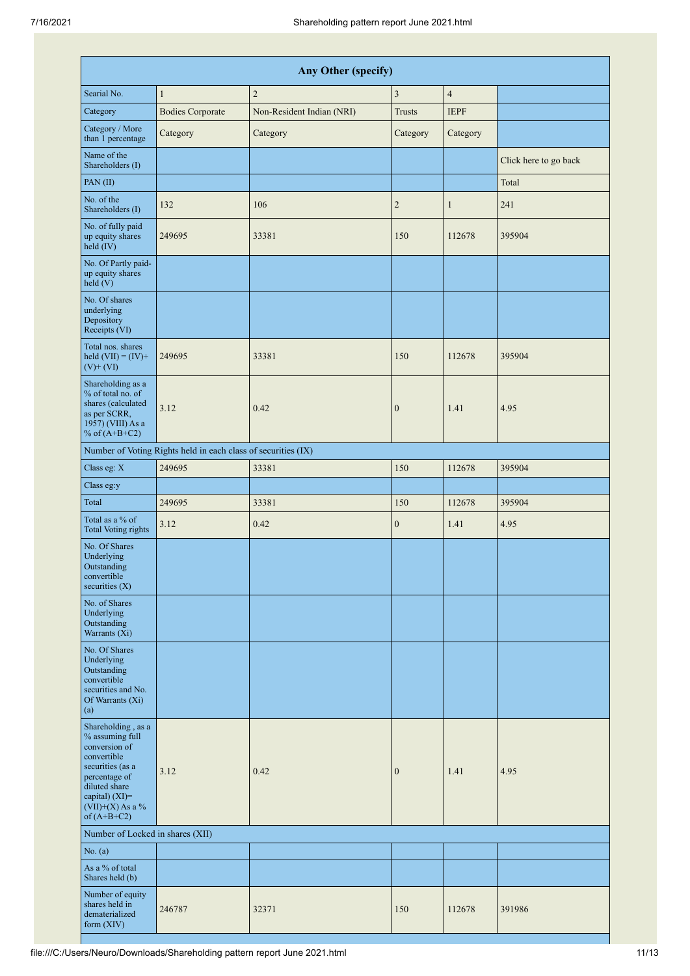|                                                                                                                                                                                         | Any Other (specify)                                           |                           |                  |                |                       |  |  |  |  |  |
|-----------------------------------------------------------------------------------------------------------------------------------------------------------------------------------------|---------------------------------------------------------------|---------------------------|------------------|----------------|-----------------------|--|--|--|--|--|
| Searial No.                                                                                                                                                                             | 1                                                             | $\overline{c}$            | 3                | $\overline{4}$ |                       |  |  |  |  |  |
| Category                                                                                                                                                                                | <b>Bodies Corporate</b>                                       | Non-Resident Indian (NRI) | <b>Trusts</b>    | <b>IEPF</b>    |                       |  |  |  |  |  |
| Category / More<br>than 1 percentage                                                                                                                                                    | Category                                                      | Category                  | Category         | Category       |                       |  |  |  |  |  |
| Name of the<br>Shareholders (I)                                                                                                                                                         |                                                               |                           |                  |                | Click here to go back |  |  |  |  |  |
| PAN(II)                                                                                                                                                                                 |                                                               |                           |                  |                | Total                 |  |  |  |  |  |
| No. of the<br>Shareholders (I)                                                                                                                                                          | 132                                                           | 106                       | $\mathbf{2}$     | $\mathbf{1}$   | 241                   |  |  |  |  |  |
| No. of fully paid<br>up equity shares<br>held (IV)                                                                                                                                      | 249695                                                        | 33381                     | 150              | 112678         | 395904                |  |  |  |  |  |
| No. Of Partly paid-<br>up equity shares<br>held(V)                                                                                                                                      |                                                               |                           |                  |                |                       |  |  |  |  |  |
| No. Of shares<br>underlying<br>Depository<br>Receipts (VI)                                                                                                                              |                                                               |                           |                  |                |                       |  |  |  |  |  |
| Total nos. shares<br>held $(VII) = (IV) +$<br>$(V)$ + $(VI)$                                                                                                                            | 249695                                                        | 33381                     | 150              | 112678         | 395904                |  |  |  |  |  |
| Shareholding as a<br>% of total no. of<br>shares (calculated<br>as per SCRR,<br>1957) (VIII) As a<br>% of $(A+B+C2)$                                                                    | 3.12                                                          | 0.42                      | $\boldsymbol{0}$ | 1.41           | 4.95                  |  |  |  |  |  |
|                                                                                                                                                                                         | Number of Voting Rights held in each class of securities (IX) |                           |                  |                |                       |  |  |  |  |  |
| Class eg: X                                                                                                                                                                             | 249695                                                        | 33381                     | 150              | 112678         | 395904                |  |  |  |  |  |
| Class eg:y                                                                                                                                                                              |                                                               |                           |                  |                |                       |  |  |  |  |  |
| Total                                                                                                                                                                                   | 249695                                                        | 33381                     | 150              | 112678         | 395904                |  |  |  |  |  |
| Total as a % of<br><b>Total Voting rights</b>                                                                                                                                           | 3.12                                                          | 0.42                      | $\boldsymbol{0}$ | 1.41           | 4.95                  |  |  |  |  |  |
| No. Of Shares<br>Underlying<br>Outstanding<br>convertible<br>securities $(X)$                                                                                                           |                                                               |                           |                  |                |                       |  |  |  |  |  |
| No. of Shares<br>Underlying<br>Outstanding<br>Warrants $(X_i)$                                                                                                                          |                                                               |                           |                  |                |                       |  |  |  |  |  |
| No. Of Shares<br>Underlying<br>Outstanding<br>convertible<br>securities and No.<br>Of Warrants (Xi)<br>(a)                                                                              |                                                               |                           |                  |                |                       |  |  |  |  |  |
| Shareholding, as a<br>% assuming full<br>conversion of<br>convertible<br>securities (as a<br>percentage of<br>diluted share<br>capital) $(XI)$ =<br>$(VII)+(X)$ As a %<br>of $(A+B+C2)$ | 3.12                                                          | 0.42                      | $\boldsymbol{0}$ | 1.41           | 4.95                  |  |  |  |  |  |
| Number of Locked in shares (XII)                                                                                                                                                        |                                                               |                           |                  |                |                       |  |  |  |  |  |
| No. (a)                                                                                                                                                                                 |                                                               |                           |                  |                |                       |  |  |  |  |  |
| As a % of total<br>Shares held (b)                                                                                                                                                      |                                                               |                           |                  |                |                       |  |  |  |  |  |
| Number of equity<br>shares held in<br>dematerialized<br>form $(XIV)$                                                                                                                    | 246787                                                        | 32371                     | 150              | 112678         | 391986                |  |  |  |  |  |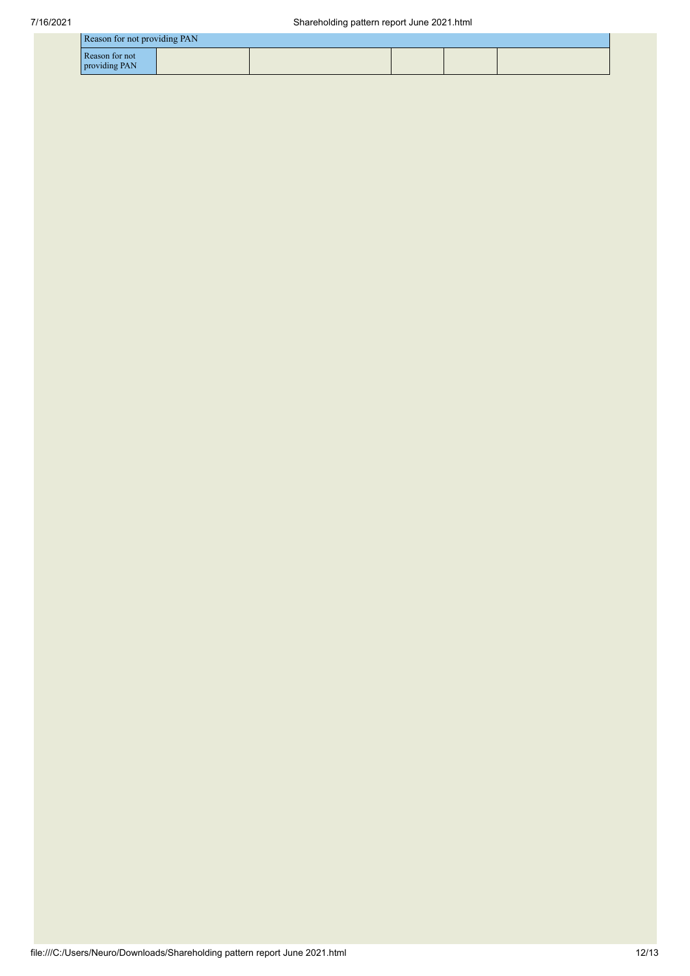| Reason for not providing PAN    |  |  |  |  |  |  |  |
|---------------------------------|--|--|--|--|--|--|--|
| Reason for not<br>providing PAN |  |  |  |  |  |  |  |